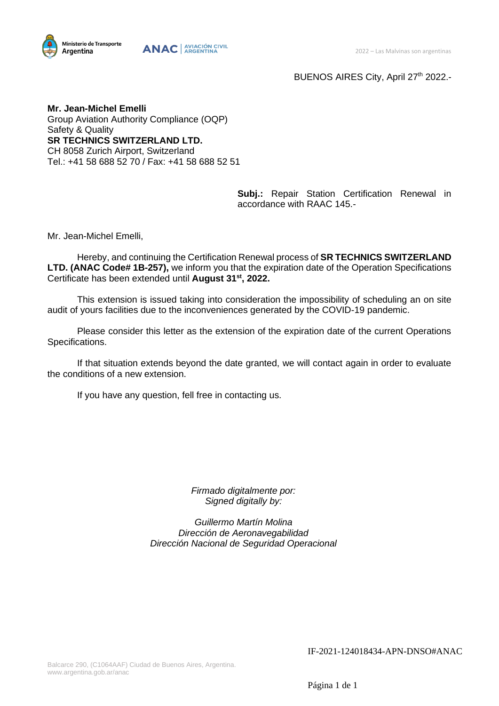



BUENOS AIRES City, April 27<sup>th</sup> 2022.-

**Mr. Jean-Michel Emelli** Group Aviation Authority Compliance (OQP) Safety & Quality **SR TECHNICS SWITZERLAND LTD.** CH 8058 Zurich Airport, Switzerland Tel.: +41 58 688 52 70 / Fax: +41 58 688 52 51

> **Subj.:** Repair Station Certification Renewal in accordance with RAAC 145.-

Mr. Jean-Michel Emelli,

Hereby, and continuing the Certification Renewal process of **SR TECHNICS SWITZERLAND LTD. (ANAC Code# 1B-257),** we inform you that the expiration date of the Operation Specifications Certificate has been extended until **August 31 st, 2022.**

This extension is issued taking into consideration the impossibility of scheduling an on site audit of yours facilities due to the inconveniences generated by the COVID-19 pandemic.

Please consider this letter as the extension of the expiration date of the current Operations Specifications.

If that situation extends beyond the date granted, we will contact again in order to evaluate the conditions of a new extension.

If you have any question, fell free in contacting us.

*Firmado digitalmente por: Signed digitally by:*

*Guillermo Martín Molina Dirección de Aeronavegabilidad Dirección Nacional de Seguridad Operacional*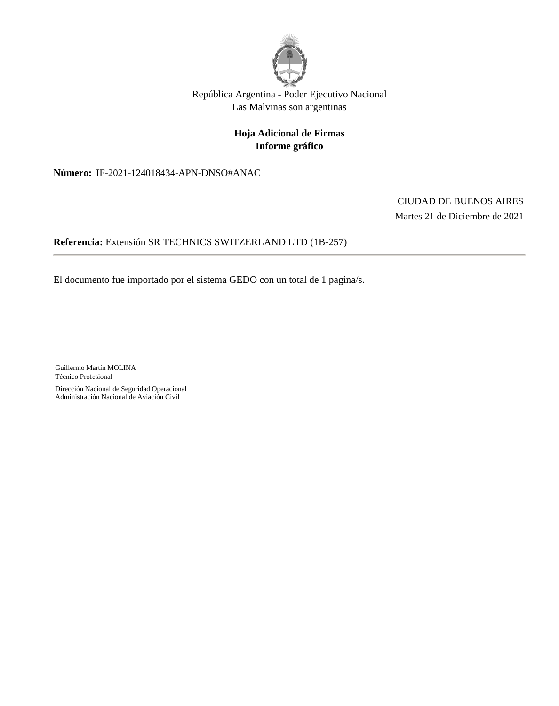

República Argentina - Poder Ejecutivo Nacional Las Malvinas son argentinas

### **Hoja Adicional de Firmas Informe gráfico**

Número: IF-2021-124018434-APN-DNSO#ANAC

IF-2021-124018434-APN-DNSO#ANAC <br>CIUDAD DE BUENOS AIRES<br>Martes 21 de Diciembre de 2021

**Referencia:** Extensión SR TECHNICS SWITZERLAND LTD (1B-257)

El documento fue importado por el sistema GEDO con un total de 1 pagina/s.

Guillermo Martín MOLINA Técnico Profesional

Dirección Nacional de Seguridad Operacional Administración Nacional de Aviación Civil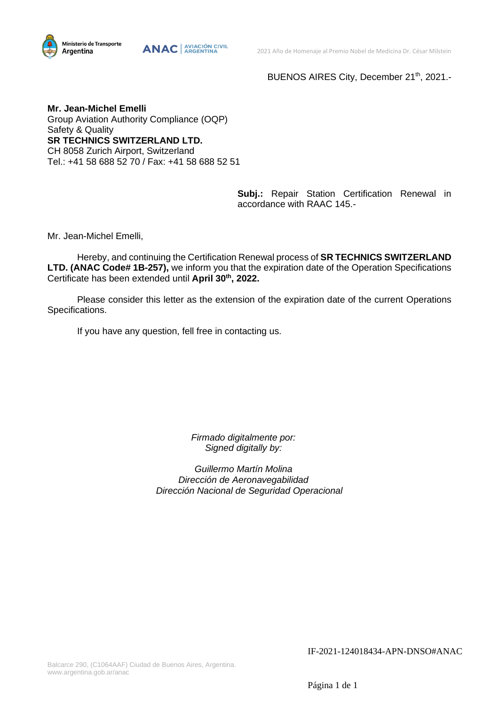

**ANAC** AVIACIÓN CIVIL

BUENOS AIRES City, December 21<sup>th</sup>, 2021.-

**Mr. Jean-Michel Emelli** Group Aviation Authority Compliance (OQP) Safety & Quality **SR TECHNICS SWITZERLAND LTD.** CH 8058 Zurich Airport, Switzerland Tel.: +41 58 688 52 70 / Fax: +41 58 688 52 51

> **Subj.:** Repair Station Certification Renewal in accordance with RAAC 145.-

Mr. Jean-Michel Emelli,

Hereby, and continuing the Certification Renewal process of **SR TECHNICS SWITZERLAND LTD. (ANAC Code# 1B-257),** we inform you that the expiration date of the Operation Specifications Certificate has been extended until **April 30 th, 2022.**

Please consider this letter as the extension of the expiration date of the current Operations Specifications.

If you have any question, fell free in contacting us.

*Firmado digitalmente por: Signed digitally by:*

*Guillermo Martín Molina Dirección de Aeronavegabilidad Dirección Nacional de Seguridad Operacional*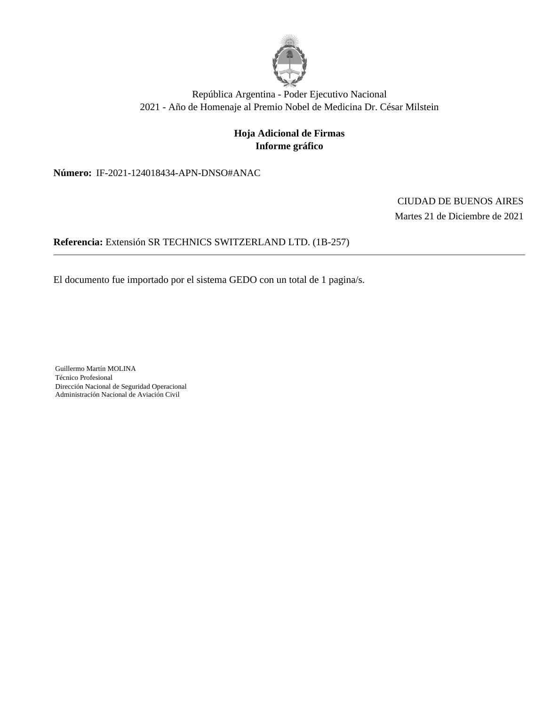

República Argentina - Poder Ejecutivo Nacional 2021 - Año de Homenaje al Premio Nobel de Medicina Dr. César Milstein

### **Hoja Adicional de Firmas Informe gráfico**

Número: IF-2021-124018434-APN-DNSO#ANAC

IF-2021-124018434-APN-DNSO#ANAC <br>CIUDAD DE BUENOS AIRES<br>Martes 21 de Diciembre de 2021

**Referencia:** Extensión SR TECHNICS SWITZERLAND LTD. (1B-257)

El documento fue importado por el sistema GEDO con un total de 1 pagina/s.

Guillermo Martín MOLINA Técnico Profesional Dirección Nacional de Seguridad Operacional Administración Nacional de Aviación Civil